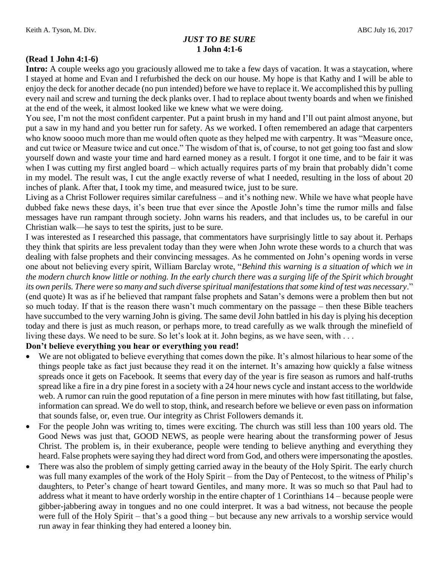# *JUST TO BE SURE* **1 John 4:1-6**

### **(Read 1 John 4:1-6)**

**Intro:** A couple weeks ago you graciously allowed me to take a few days of vacation. It was a staycation, where I stayed at home and Evan and I refurbished the deck on our house. My hope is that Kathy and I will be able to enjoy the deck for another decade (no pun intended) before we have to replace it. We accomplished this by pulling every nail and screw and turning the deck planks over. I had to replace about twenty boards and when we finished at the end of the week, it almost looked like we knew what we were doing.

You see, I'm not the most confident carpenter. Put a paint brush in my hand and I'll out paint almost anyone, but put a saw in my hand and you better run for safety. As we worked. I often remembered an adage that carpenters who know soooo much more than me would often quote as they helped me with carpentry. It was "Measure once, and cut twice or Measure twice and cut once." The wisdom of that is, of course, to not get going too fast and slow yourself down and waste your time and hard earned money as a result. I forgot it one time, and to be fair it was when I was cutting my first angled board – which actually requires parts of my brain that probably didn't come in my model. The result was, I cut the angle exactly reverse of what I needed, resulting in the loss of about 20 inches of plank. After that, I took my time, and measured twice, just to be sure.

Living as a Christ Follower requires similar carefulness – and it's nothing new. While we have what people have dubbed fake news these days, it's been true that ever since the Apostle John's time the rumor mills and false messages have run rampant through society. John warns his readers, and that includes us, to be careful in our Christian walk—he says to test the spirits, just to be sure.

I was interested as I researched this passage, that commentators have surprisingly little to say about it. Perhaps they think that spirits are less prevalent today than they were when John wrote these words to a church that was dealing with false prophets and their convincing messages. As he commented on John's opening words in verse one about not believing every spirit, William Barclay wrote, "*Behind this warning is a situation of which we in the modern church know little or nothing. In the early church there was a surging life of the Spirit which brought its own perils. There were so many and such diverse spiritual manifestations that some kind of test was necessary*." (end quote) It was as if he believed that rampant false prophets and Satan's demons were a problem then but not so much today. If that is the reason there wasn't much commentary on the passage – then these Bible teachers have succumbed to the very warning John is giving. The same devil John battled in his day is plying his deception today and there is just as much reason, or perhaps more, to tread carefully as we walk through the minefield of living these days. We need to be sure. So let's look at it. John begins, as we have seen, with ...

#### **Don't believe everything you hear or everything you read!**

- We are not obligated to believe everything that comes down the pike. It's almost hilarious to hear some of the things people take as fact just because they read it on the internet. It's amazing how quickly a false witness spreads once it gets on Facebook. It seems that every day of the year is fire season as rumors and half-truths spread like a fire in a dry pine forest in a society with a 24 hour news cycle and instant access to the worldwide web. A rumor can ruin the good reputation of a fine person in mere minutes with how fast titillating, but false, information can spread. We do well to stop, think, and research before we believe or even pass on information that sounds false, or, even true. Our integrity as Christ Followers demands it.
- For the people John was writing to, times were exciting. The church was still less than 100 years old. The Good News was just that, GOOD NEWS, as people were hearing about the transforming power of Jesus Christ. The problem is, in their exuberance, people were tending to believe anything and everything they heard. False prophets were saying they had direct word from God, and others were impersonating the apostles.
- There was also the problem of simply getting carried away in the beauty of the Holy Spirit. The early church was full many examples of the work of the Holy Spirit – from the Day of Pentecost, to the witness of Philip's daughters, to Peter's change of heart toward Gentiles, and many more. It was so much so that Paul had to address what it meant to have orderly worship in the entire chapter of 1 Corinthians 14 – because people were gibber-jabbering away in tongues and no one could interpret. It was a bad witness, not because the people were full of the Holy Spirit – that's a good thing – but because any new arrivals to a worship service would run away in fear thinking they had entered a looney bin.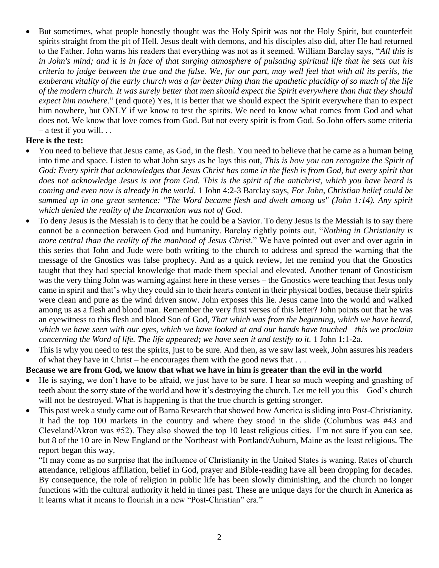But sometimes, what people honestly thought was the Holy Spirit was not the Holy Spirit, but counterfeit spirits straight from the pit of Hell. Jesus dealt with demons, and his disciples also did, after He had returned to the Father. John warns his readers that everything was not as it seemed. William Barclay says, "*All this is in John's mind; and it is in face of that surging atmosphere of pulsating spiritual life that he sets out his criteria to judge between the true and the false. We, for our part, may well feel that with all its perils, the exuberant vitality of the early church was a far better thing than the apathetic placidity of so much of the life of the modern church. It was surely better that men should expect the Spirit everywhere than that they should expect him nowhere*." (end quote) Yes, it is better that we should expect the Spirit everywhere than to expect him nowhere, but ONLY if we know to test the spirits. We need to know what comes from God and what does not. We know that love comes from God. But not every spirit is from God. So John offers some criteria  $-$  a test if you will. . .

## **Here is the test:**

- You need to believe that Jesus came, as God, in the flesh. You need to believe that he came as a human being into time and space. Listen to what John says as he lays this out, *This is how you can recognize the Spirit of God: Every spirit that acknowledges that Jesus Christ has come in the flesh is from God, but every spirit that does not acknowledge Jesus is not from God. This is the spirit of the antichrist, which you have heard is coming and even now is already in the world*. 1 John 4:2-3 Barclay says, *For John, Christian belief could be summed up in one great sentence: "The Word became flesh and dwelt among us" (John 1:14). Any spirit which denied the reality of the Incarnation was not of God.*
- To deny Jesus is the Messiah is to deny that he could be a Savior. To deny Jesus is the Messiah is to say there cannot be a connection between God and humanity. Barclay rightly points out, "*Nothing in Christianity is more central than the reality of the manhood of Jesus Christ*." We have pointed out over and over again in this series that John and Jude were both writing to the church to address and spread the warning that the message of the Gnostics was false prophecy. And as a quick review, let me remind you that the Gnostics taught that they had special knowledge that made them special and elevated. Another tenant of Gnosticism was the very thing John was warning against here in these verses – the Gnostics were teaching that Jesus only came in spirit and that's why they could sin to their hearts content in their physical bodies, because their spirits were clean and pure as the wind driven snow. John exposes this lie. Jesus came into the world and walked among us as a flesh and blood man. Remember the very first verses of this letter? John points out that he was an eyewitness to this flesh and blood Son of God, *That which was from the beginning, which we have heard, which we have seen with our eyes, which we have looked at and our hands have touched—this we proclaim concerning the Word of life. The life appeared; we have seen it and testify to it.* 1 John 1:1-2a.
- This is why you need to test the spirits, just to be sure. And then, as we saw last week, John assures his readers of what they have in Christ – he encourages them with the good news that . . .

### **Because we are from God, we know that what we have in him is greater than the evil in the world**

- He is saying, we don't have to be afraid, we just have to be sure. I hear so much weeping and gnashing of teeth about the sorry state of the world and how it's destroying the church. Let me tell you this – God's church will not be destroyed. What is happening is that the true church is getting stronger.
- This past week a study came out of Barna Research that showed how America is sliding into Post-Christianity. It had the top 100 markets in the country and where they stood in the slide (Columbus was #43 and Cleveland/Akron was #52). They also showed the top 10 least religious cities. I'm not sure if you can see, but 8 of the 10 are in New England or the Northeast with Portland/Auburn, Maine as the least religious. The report began this way,

"It may come as no surprise that the influence of Christianity in the United States is waning. Rates of church attendance, religious affiliation, belief in God, prayer and Bible-reading have all been dropping for decades. By consequence, the role of religion in public life has been slowly diminishing, and the church no longer functions with the cultural authority it held in times past. These are unique days for the church in America as it learns what it means to flourish in a new "Post-Christian" era."